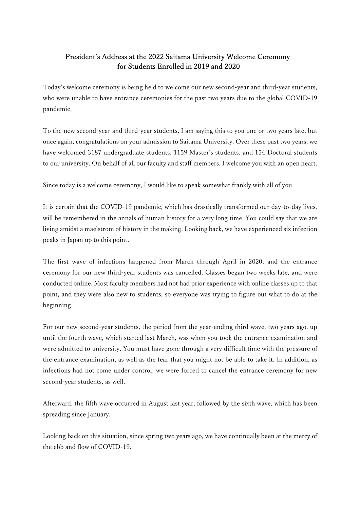## President's Address at the 2022 Saitama University Welcome Ceremony for Students Enrolled in 2019 and 2020

Today's welcome ceremony is being held to welcome our new second-year and third-year students, who were unable to have entrance ceremonies for the past two years due to the global COVID-19 pandemic.

To the new second-year and third-year students, I am saying this to you one or two years late, but once again, congratulations on your admission to Saitama University. Over these past two years, we have welcomed 3187 undergraduate students, 1159 Master's students, and 154 Doctoral students to our university. On behalf of all our faculty and staff members, I welcome you with an open heart.

Since today is a welcome ceremony, I would like to speak somewhat frankly with all of you.

It is certain that the COVID-19 pandemic, which has drastically transformed our day-to-day lives, will be remembered in the annals of human history for a very long time. You could say that we are living amidst a maelstrom of history in the making. Looking back, we have experienced six infection peaks in Japan up to this point.

The first wave of infections happened from March through April in 2020, and the entrance ceremony for our new third-year students was cancelled. Classes began two weeks late, and were conducted online. Most faculty members had not had prior experience with online classes up to that point, and they were also new to students, so everyone was trying to figure out what to do at the beginning.

For our new second-year students, the period from the year-ending third wave, two years ago, up until the fourth wave, which started last March, was when you took the entrance examination and were admitted to university. You must have gone through a very difficult time with the pressure of the entrance examination, as well as the fear that you might not be able to take it. In addition, as infections had not come under control, we were forced to cancel the entrance ceremony for new second-year students, as well.

Afterward, the fifth wave occurred in August last year, followed by the sixth wave, which has been spreading since January.

Looking back on this situation, since spring two years ago, we have continually been at the mercy of the ebb and flow of COVID-19.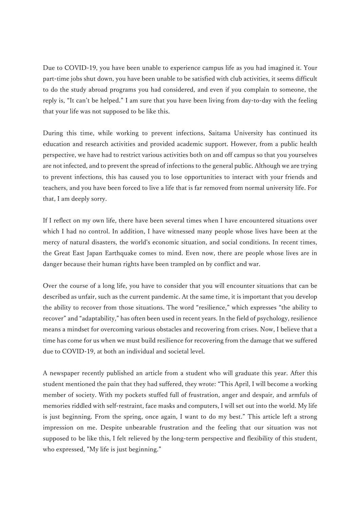Due to COVID-19, you have been unable to experience campus life as you had imagined it. Your part-time jobs shut down, you have been unable to be satisfied with club activities, it seems difficult to do the study abroad programs you had considered, and even if you complain to someone, the reply is, "It can't be helped." I am sure that you have been living from day-to-day with the feeling that your life was not supposed to be like this.

During this time, while working to prevent infections, Saitama University has continued its education and research activities and provided academic support. However, from a public health perspective, we have had to restrict various activities both on and off campus so that you yourselves are not infected, and to prevent the spread of infections to the general public. Although we are trying to prevent infections, this has caused you to lose opportunities to interact with your friends and teachers, and you have been forced to live a life that is far removed from normal university life. For that, I am deeply sorry.

If I reflect on my own life, there have been several times when I have encountered situations over which I had no control. In addition, I have witnessed many people whose lives have been at the mercy of natural disasters, the world's economic situation, and social conditions. In recent times, the Great East Japan Earthquake comes to mind. Even now, there are people whose lives are in danger because their human rights have been trampled on by conflict and war.

Over the course of a long life, you have to consider that you will encounter situations that can be described as unfair, such as the current pandemic. At the same time, it is important that you develop the ability to recover from those situations. The word "resilience," which expresses "the ability to recover" and "adaptability," has often been used in recent years. In the field of psychology, resilience means a mindset for overcoming various obstacles and recovering from crises. Now, I believe that a time has come for us when we must build resilience for recovering from the damage that we suffered due to COVID-19, at both an individual and societal level.

A newspaper recently published an article from a student who will graduate this year. After this student mentioned the pain that they had suffered, they wrote: "This April, I will become a working member of society. With my pockets stuffed full of frustration, anger and despair, and armfuls of memories riddled with self-restraint, face masks and computers, I will set out into the world. My life is just beginning. From the spring, once again, I want to do my best." This article left a strong impression on me. Despite unbearable frustration and the feeling that our situation was not supposed to be like this, I felt relieved by the long-term perspective and flexibility of this student, who expressed, "My life is just beginning."